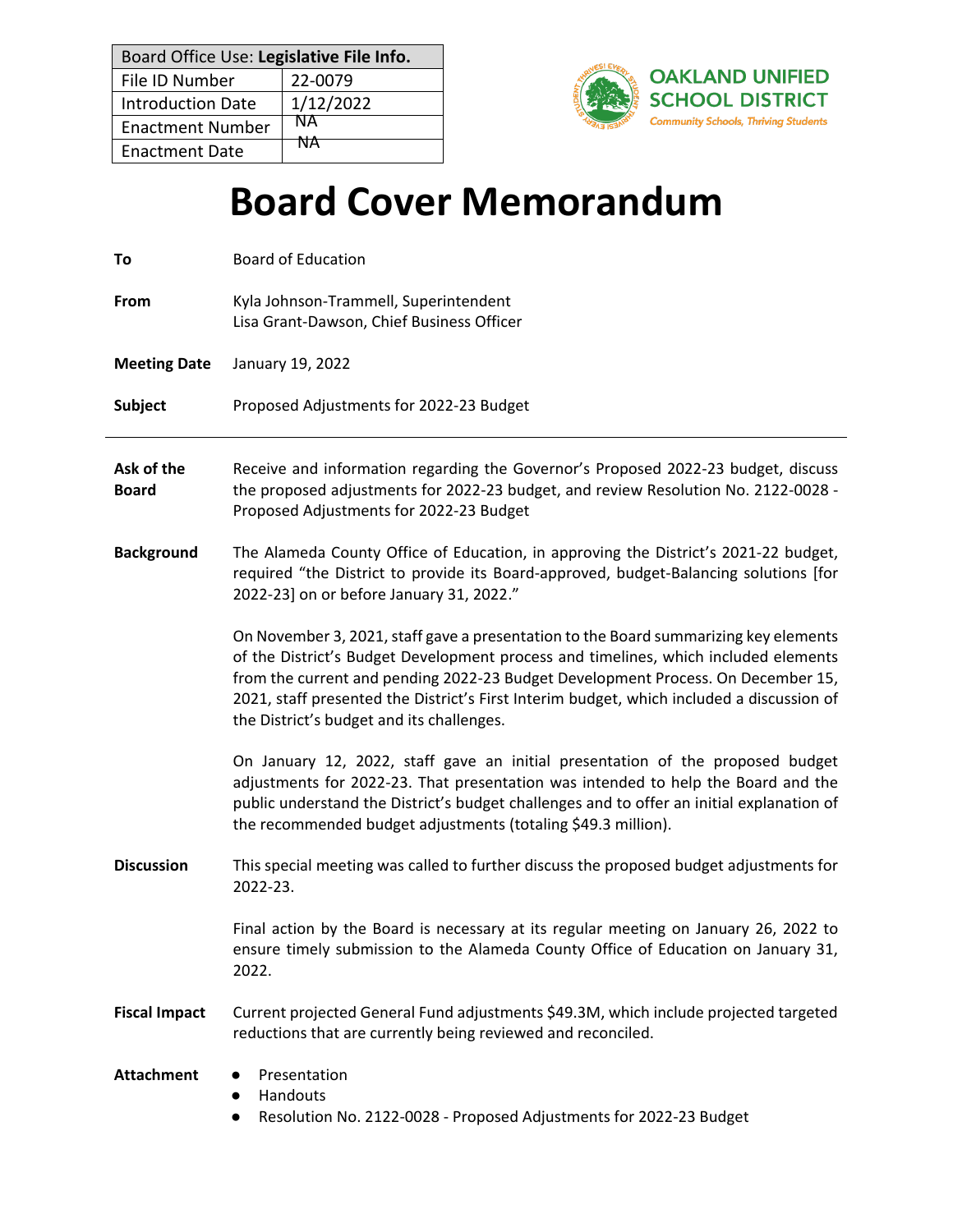| Board Office Use: Legislative File Info. |           |  |
|------------------------------------------|-----------|--|
| File ID Number                           | 22-0079   |  |
| <b>Introduction Date</b>                 | 1/12/2022 |  |
| <b>Enactment Number</b>                  | NА        |  |
| <b>Enactment Date</b>                    | <b>NA</b> |  |



# **Board Cover Memorandum**

| To                         | <b>Board of Education</b>                                                                                                                                                                                                                                                                                                                                                                                 |
|----------------------------|-----------------------------------------------------------------------------------------------------------------------------------------------------------------------------------------------------------------------------------------------------------------------------------------------------------------------------------------------------------------------------------------------------------|
| From                       | Kyla Johnson-Trammell, Superintendent<br>Lisa Grant-Dawson, Chief Business Officer                                                                                                                                                                                                                                                                                                                        |
| <b>Meeting Date</b>        | January 19, 2022                                                                                                                                                                                                                                                                                                                                                                                          |
| <b>Subject</b>             | Proposed Adjustments for 2022-23 Budget                                                                                                                                                                                                                                                                                                                                                                   |
| Ask of the<br><b>Board</b> | Receive and information regarding the Governor's Proposed 2022-23 budget, discuss<br>the proposed adjustments for 2022-23 budget, and review Resolution No. 2122-0028 -<br>Proposed Adjustments for 2022-23 Budget                                                                                                                                                                                        |
| <b>Background</b>          | The Alameda County Office of Education, in approving the District's 2021-22 budget,<br>required "the District to provide its Board-approved, budget-Balancing solutions [for<br>2022-23] on or before January 31, 2022."                                                                                                                                                                                  |
|                            | On November 3, 2021, staff gave a presentation to the Board summarizing key elements<br>of the District's Budget Development process and timelines, which included elements<br>from the current and pending 2022-23 Budget Development Process. On December 15,<br>2021, staff presented the District's First Interim budget, which included a discussion of<br>the District's budget and its challenges. |
|                            | On January 12, 2022, staff gave an initial presentation of the proposed budget<br>adjustments for 2022-23. That presentation was intended to help the Board and the<br>public understand the District's budget challenges and to offer an initial explanation of<br>the recommended budget adjustments (totaling \$49.3 million).                                                                         |
| <b>Discussion</b>          | This special meeting was called to further discuss the proposed budget adjustments for<br>2022-23.                                                                                                                                                                                                                                                                                                        |
|                            | Final action by the Board is necessary at its regular meeting on January 26, 2022 to<br>ensure timely submission to the Alameda County Office of Education on January 31,<br>2022.                                                                                                                                                                                                                        |
| <b>Fiscal Impact</b>       | Current projected General Fund adjustments \$49.3M, which include projected targeted<br>reductions that are currently being reviewed and reconciled.                                                                                                                                                                                                                                                      |
| <b>Attachment</b>          | Presentation<br>Handouts<br>$\bullet$<br>Resolution No. 2122-0028 - Proposed Adjustments for 2022-23 Budget<br>$\bullet$                                                                                                                                                                                                                                                                                  |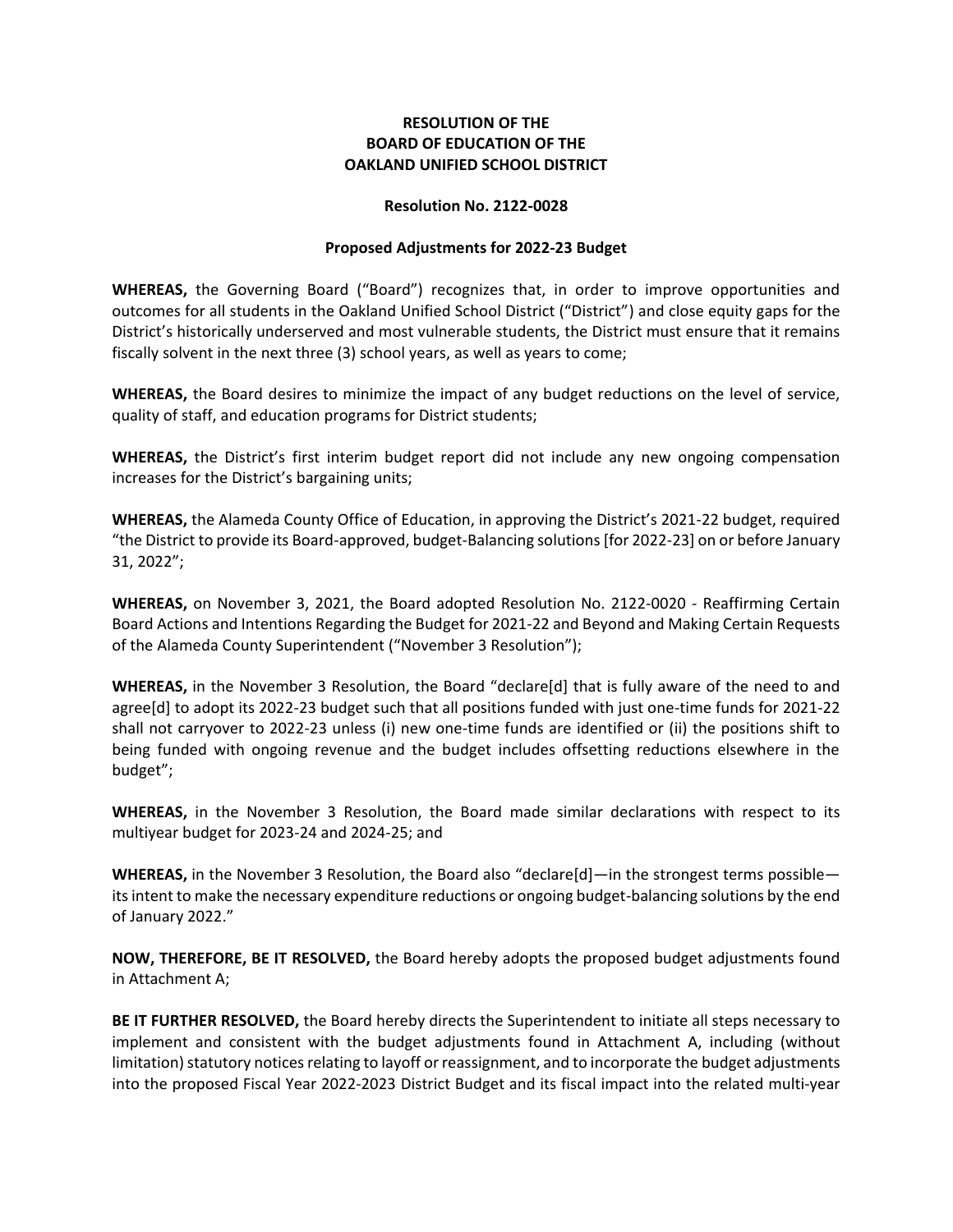## **RESOLUTION OF THE BOARD OF EDUCATION OF THE OAKLAND UNIFIED SCHOOL DISTRICT**

#### **Resolution No. 2122-0028**

### **Proposed Adjustments for 2022‐23 Budget**

**WHEREAS,** the Governing Board ("Board") recognizes that, in order to improve opportunities and outcomes for all students in the Oakland Unified School District ("District") and close equity gaps for the District's historically underserved and most vulnerable students, the District must ensure that it remains fiscally solvent in the next three (3) school years, as well as years to come;

**WHEREAS,** the Board desires to minimize the impact of any budget reductions on the level of service, quality of staff, and education programs for District students;

**WHEREAS,** the District's first interim budget report did not include any new ongoing compensation increases for the District's bargaining units;

**WHEREAS,** the Alameda County Office of Education, in approving the District's 2021-22 budget, required "the District to provide its Board-approved, budget-Balancing solutions [for 2022-23] on or before January 31, 2022";

**WHEREAS,** on November 3, 2021, the Board adopted Resolution No. 2122-0020 - Reaffirming Certain Board Actions and Intentions Regarding the Budget for 2021-22 and Beyond and Making Certain Requests of the Alameda County Superintendent ("November 3 Resolution");

**WHEREAS,** in the November 3 Resolution, the Board "declare[d] that is fully aware of the need to and agree[d] to adopt its 2022-23 budget such that all positions funded with just one-time funds for 2021-22 shall not carryover to 2022-23 unless (i) new one-time funds are identified or (ii) the positions shift to being funded with ongoing revenue and the budget includes offsetting reductions elsewhere in the budget";

**WHEREAS,** in the November 3 Resolution, the Board made similar declarations with respect to its multiyear budget for 2023-24 and 2024-25; and

**WHEREAS,** in the November 3 Resolution, the Board also "declare[d]—in the strongest terms possible its intent to make the necessary expenditure reductions or ongoing budget-balancing solutions by the end of January 2022."

**NOW, THEREFORE, BE IT RESOLVED,** the Board hereby adopts the proposed budget adjustments found in Attachment A;

**BE IT FURTHER RESOLVED,** the Board hereby directs the Superintendent to initiate all steps necessary to implement and consistent with the budget adjustments found in Attachment A, including (without limitation) statutory notices relating to layoff or reassignment, and to incorporate the budget adjustments into the proposed Fiscal Year 2022‐2023 District Budget and its fiscal impact into the related multi‐year